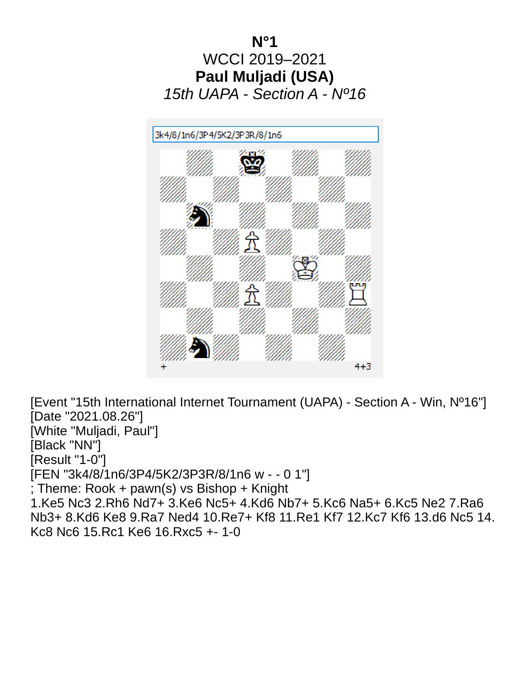

[Event "15th International Internet Tournament (UAPA) - Section A - Win, Nº16"] [Date "2021.08.26"] [White "Muljadi, Paul"] [Black "NN"] [Result "1-0"] [FEN "3k4/8/1n6/3P4/5K2/3P3R/8/1n6 w - - 0 1"] ; Theme: Rook + pawn(s) vs Bishop + Knight 1.Ke5 Nc3 2.Rh6 Nd7+ 3.Ke6 Nc5+ 4.Kd6 Nb7+ 5.Kc6 Na5+ 6.Kc5 Ne2 7.Ra6 Nb3+ 8.Kd6 Ke8 9.Ra7 Ned4 10.Re7+ Kf8 11.Re1 Kf7 12.Kc7 Kf6 13.d6 Nc5 14. Kc8 Nc6 15.Rc1 Ke6 16.Rxc5 +- 1-0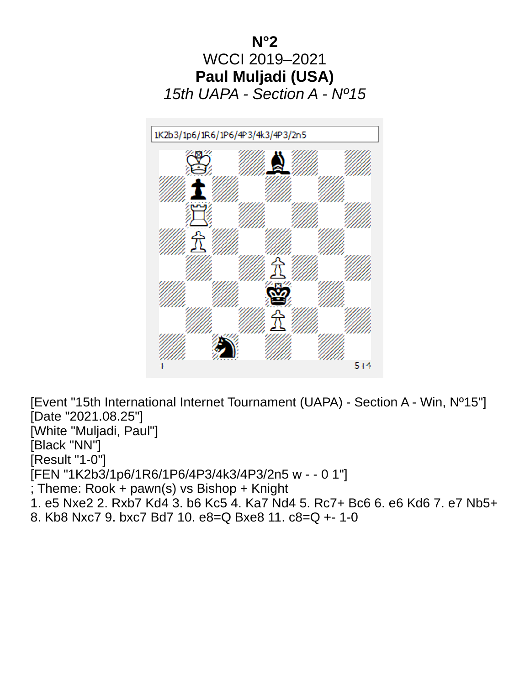

[Event "15th International Internet Tournament (UAPA) - Section A - Win, Nº15"] [Date "2021.08.25"] [White "Muljadi, Paul"] [Black "NN"] [Result "1-0"] [FEN "1K2b3/1p6/1R6/1P6/4P3/4k3/4P3/2n5 w - - 0 1"] ; Theme: Rook + pawn(s) vs Bishop + Knight 1. e5 Nxe2 2. Rxb7 Kd4 3. b6 Kc5 4. Ka7 Nd4 5. Rc7+ Bc6 6. e6 Kd6 7. e7 Nb5+ 8. Kb8 Nxc7 9. bxc7 Bd7 10. e8=Q Bxe8 11. c8=Q +- 1-0

 $5 + 4$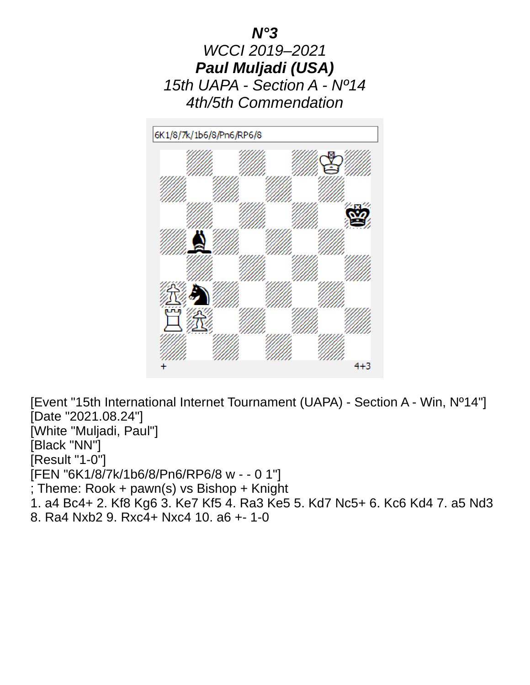



[Event "15th International Internet Tournament (UAPA) - Section A - Win, Nº14"] [Date "2021.08.24"] [White "Muljadi, Paul"] [Black "NN"] [Result "1-0"] [FEN "6K1/8/7k/1b6/8/Pn6/RP6/8 w - - 0 1"] ; Theme: Rook + pawn(s) vs Bishop + Knight 1. a4 Bc4+ 2. Kf8 Kg6 3. Ke7 Kf5 4. Ra3 Ke5 5. Kd7 Nc5+ 6. Kc6 Kd4 7. a5 Nd3 8. Ra4 Nxb2 9. Rxc4+ Nxc4 10. a6 +- 1-0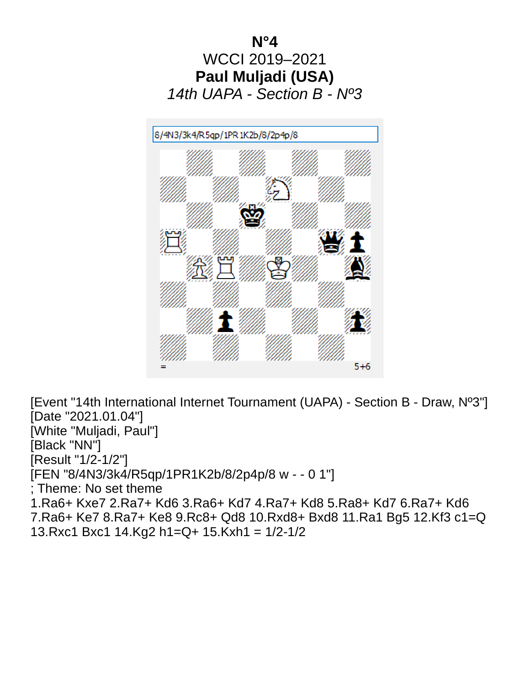

[Event "14th International Internet Tournament (UAPA) - Section B - Draw, Nº3"] [Date "2021.01.04"] [White "Muljadi, Paul"] [Black "NN"] [Result "1/2-1/2"] [FEN "8/4N3/3k4/R5qp/1PR1K2b/8/2p4p/8 w - - 0 1"] ; Theme: No set theme 1.Ra6+ Kxe7 2.Ra7+ Kd6 3.Ra6+ Kd7 4.Ra7+ Kd8 5.Ra8+ Kd7 6.Ra7+ Kd6 7.Ra6+ Ke7 8.Ra7+ Ke8 9.Rc8+ Qd8 10.Rxd8+ Bxd8 11.Ra1 Bg5 12.Kf3 c1=Q 13.Rxc1 Bxc1 14.Kg2 h1=Q+ 15.Kxh1 = 1/2-1/2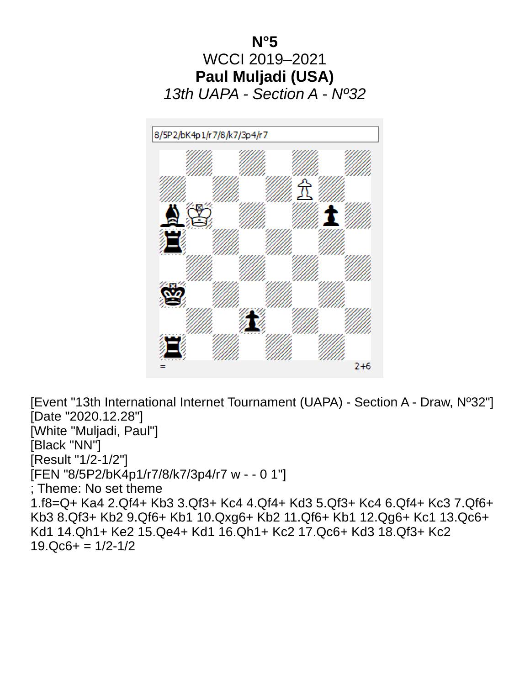

[Event "13th International Internet Tournament (UAPA) - Section A - Draw, Nº32"] [Date "2020.12.28"] [White "Muljadi, Paul"] [Black "NN"] [Result "1/2-1/2"] [FEN "8/5P2/bK4p1/r7/8/k7/3p4/r7 w - - 0 1"] ; Theme: No set theme 1.f8=Q+ Ka4 2.Qf4+ Kb3 3.Qf3+ Kc4 4.Qf4+ Kd3 5.Qf3+ Kc4 6.Qf4+ Kc3 7.Qf6+ Kb3 8.Qf3+ Kb2 9.Qf6+ Kb1 10.Qxg6+ Kb2 11.Qf6+ Kb1 12.Qg6+ Kc1 13.Qc6+ Kd1 14.Qh1+ Ke2 15.Qe4+ Kd1 16.Qh1+ Kc2 17.Qc6+ Kd3 18.Qf3+ Kc2  $19.Qc6+ = 1/2-1/2$ 

 $2+6$